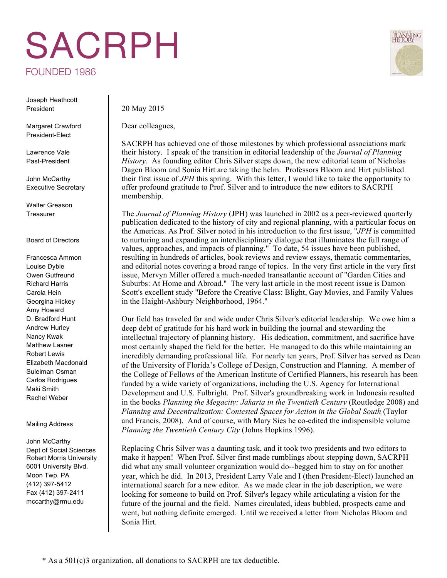## SACRPH



Joseph Heathcott President

Margaret Crawford President-Elect

Lawrence Vale Past-President

John McCarthy Executive Secretary

Walter Greason **Treasurer** 

## Board of Directors

Francesca Ammon Louise Dyble Owen Gutfreund Richard Harris Carola Hein Georgina Hickey Amy Howard D. Bradford Hunt Andrew Hurley Nancy Kwak Matthew Lasner Robert Lewis Elizabeth Macdonald Suleiman Osman Carlos Rodrigues Maki Smith Rachel Weber

## Mailing Address

John McCarthy Dept of Social Sciences Robert Morris University 6001 University Blvd. Moon Twp. PA (412) 397-5412 Fax (412) 397-2411 mccarthy@rmu.edu

20 May 2015

Dear colleagues,

SACRPH has achieved one of those milestones by which professional associations mark their history. I speak of the transition in editorial leadership of the *Journal of Planning History*. As founding editor Chris Silver steps down, the new editorial team of Nicholas Dagen Bloom and Sonia Hirt are taking the helm. Professors Bloom and Hirt published their first issue of *JPH* this spring. With this letter, I would like to take the opportunity to offer profound gratitude to Prof. Silver and to introduce the new editors to SACRPH membership.

The *Journal of Planning History* (JPH) was launched in 2002 as a peer-reviewed quarterly publication dedicated to the history of city and regional planning, with a particular focus on the Americas. As Prof. Silver noted in his introduction to the first issue, "*JPH* is committed to nurturing and expanding an interdisciplinary dialogue that illuminates the full range of values, approaches, and impacts of planning." To date, 54 issues have been published, resulting in hundreds of articles, book reviews and review essays, thematic commentaries, and editorial notes covering a broad range of topics. In the very first article in the very first issue, Mervyn Miller offered a much-needed transatlantic account of "Garden Cities and Suburbs: At Home and Abroad." The very last article in the most recent issue is Damon Scott's excellent study "Before the Creative Class: Blight, Gay Movies, and Family Values in the Haight-Ashbury Neighborhood, 1964."

Our field has traveled far and wide under Chris Silver's editorial leadership. We owe him a deep debt of gratitude for his hard work in building the journal and stewarding the intellectual trajectory of planning history. His dedication, commitment, and sacrifice have most certainly shaped the field for the better. He managed to do this while maintaining an incredibly demanding professional life. For nearly ten years, Prof. Silver has served as Dean of the University of Florida's College of Design, Construction and Planning. A member of the College of Fellows of the American Institute of Certified Planners, his research has been funded by a wide variety of organizations, including the U.S. Agency for International Development and U.S. Fulbright. Prof. Silver's groundbreaking work in Indonesia resulted in the books *Planning the Megacity: Jakarta in the Twentieth Century* (Routledge 2008) and *Planning and Decentralization: Contested Spaces for Action in the Global South* (Taylor and Francis, 2008). And of course, with Mary Sies he co-edited the indispensible volume *Planning the Twentieth Century City* (Johns Hopkins 1996).

Replacing Chris Silver was a daunting task, and it took two presidents and two editors to make it happen! When Prof. Silver first made rumblings about stepping down, SACRPH did what any small volunteer organization would do--begged him to stay on for another year, which he did. In 2013, President Larry Vale and I (then President-Elect) launched an international search for a new editor. As we made clear in the job description, we were looking for someone to build on Prof. Silver's legacy while articulating a vision for the future of the journal and the field. Names circulated, ideas bubbled, prospects came and went, but nothing definite emerged. Until we received a letter from Nicholas Bloom and Sonia Hirt.